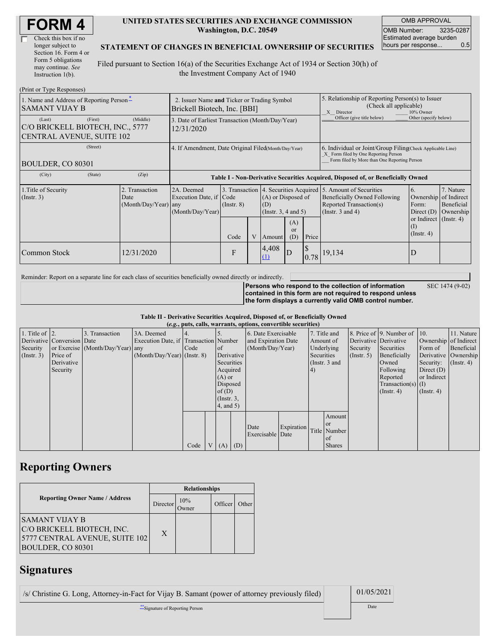| <b>FORM4</b> |
|--------------|
|--------------|

| Check this box if no  |
|-----------------------|
| longer subject to     |
| Section 16. Form 4 or |
| Form 5 obligations    |
| may continue. See     |
| Instruction 1(b).     |

#### **UNITED STATES SECURITIES AND EXCHANGE COMMISSION Washington, D.C. 20549**

OMB APPROVAL OMB Number: 3235-0287 Estimated average burden hours per response... 0.5

SEC 1474 (9-02)

#### **STATEMENT OF CHANGES IN BENEFICIAL OWNERSHIP OF SECURITIES**

Filed pursuant to Section 16(a) of the Securities Exchange Act of 1934 or Section 30(h) of the Investment Company Act of 1940

| (Print or Type Responses)                                                                 |                                                                             |                                                                                  |                                          |   |                                                |                                                                                                                                                    |       |                                                                                                                                           |                                                            |                                      |
|-------------------------------------------------------------------------------------------|-----------------------------------------------------------------------------|----------------------------------------------------------------------------------|------------------------------------------|---|------------------------------------------------|----------------------------------------------------------------------------------------------------------------------------------------------------|-------|-------------------------------------------------------------------------------------------------------------------------------------------|------------------------------------------------------------|--------------------------------------|
| 1. Name and Address of Reporting Person-<br><b>SAMANT VIJAY B</b>                         | 2. Issuer Name and Ticker or Trading Symbol<br>Brickell Biotech, Inc. [BBI] |                                                                                  |                                          |   |                                                | 5. Relationship of Reporting Person(s) to Issuer<br>(Check all applicable)<br>X Director<br>10% Owner                                              |       |                                                                                                                                           |                                                            |                                      |
| (First)<br>(Last)<br>C/O BRICKELL BIOTECH, INC., 5777<br><b>CENTRAL AVENUE, SUITE 102</b> | (Middle)                                                                    | 3. Date of Earliest Transaction (Month/Day/Year)<br>12/31/2020                   |                                          |   |                                                |                                                                                                                                                    |       | Officer (give title below)                                                                                                                | Other (specify below)                                      |                                      |
| (Street)<br>BOULDER, CO 80301                                                             | 4. If Amendment, Date Original Filed(Month/Day/Year)                        |                                                                                  |                                          |   |                                                | 6. Individual or Joint/Group Filing(Check Applicable Line)<br>X Form filed by One Reporting Person<br>Form filed by More than One Reporting Person |       |                                                                                                                                           |                                                            |                                      |
| (City)<br>(State)                                                                         | (Zip)                                                                       | Table I - Non-Derivative Securities Acquired, Disposed of, or Beneficially Owned |                                          |   |                                                |                                                                                                                                                    |       |                                                                                                                                           |                                                            |                                      |
| 1. Title of Security<br>(Insert. 3)                                                       | 2. Transaction<br>Date<br>(Month/Day/Year) any                              | 2A. Deemed<br>Execution Date, if Code<br>(Month/Day/Year)                        | 3. Transaction<br>$($ Instr. $8)$<br>(D) |   | (A) or Disposed of<br>(Instr. $3, 4$ and $5$ ) |                                                                                                                                                    |       | 4. Securities Acquired 5. Amount of Securities<br><b>Beneficially Owned Following</b><br>Reported Transaction(s)<br>(Instr. $3$ and $4$ ) | 6.<br>Ownership of Indirect<br>Form:<br>Direct $(D)$       | 7. Nature<br>Beneficial<br>Ownership |
|                                                                                           |                                                                             |                                                                                  | Code                                     | V | Amount                                         | (A)<br>$\alpha$<br>(D)                                                                                                                             | Price |                                                                                                                                           | or Indirect $($ Instr. 4 $)$<br>$($ I)<br>$($ Instr. 4 $)$ |                                      |
| <b>Common Stock</b>                                                                       | 12/31/2020                                                                  |                                                                                  | F                                        |   | 4,408<br>(1)                                   | D                                                                                                                                                  | 0.78  | 19,134                                                                                                                                    | D                                                          |                                      |

Reminder: Report on a separate line for each class of securities beneficially owned directly or indirectly.

**Persons who respond to the collection of information contained in this form are not required to respond unless the form displays a currently valid OMB control number.**

**Table II - Derivative Securities Acquired, Disposed of, or Beneficially Owned**

| (e.g., puts, calls, warrants, options, convertible securities) |                            |                                  |                                       |      |  |                 |            |                     |            |            |                 |               |                              |                  |                       |
|----------------------------------------------------------------|----------------------------|----------------------------------|---------------------------------------|------|--|-----------------|------------|---------------------|------------|------------|-----------------|---------------|------------------------------|------------------|-----------------------|
| 1. Title of $\vert$ 2.                                         |                            | 3. Transaction                   | 3A. Deemed                            |      |  |                 |            | 6. Date Exercisable |            |            | 7. Title and    |               | 8. Price of 9. Number of 10. |                  | 11. Nature            |
|                                                                | Derivative Conversion Date |                                  | Execution Date, if Transaction Number |      |  |                 |            | and Expiration Date |            | Amount of  |                 |               | Derivative Derivative        |                  | Ownership of Indirect |
| Security                                                       |                            | or Exercise (Month/Day/Year) any |                                       | Code |  | of              |            | (Month/Day/Year)    |            |            | Underlying      | Security      | Securities                   | Form of          | Beneficial            |
| (Insert. 3)                                                    | Price of                   |                                  | $(Month/Day/Year)$ (Instr. 8)         |      |  |                 | Derivative |                     |            | Securities |                 | $($ Instr. 5) | Beneficially                 |                  | Derivative Ownership  |
|                                                                | Derivative                 |                                  |                                       |      |  | Securities      |            |                     |            |            | (Instr. $3$ and |               | Owned                        | Security:        | $($ Instr. 4 $)$      |
|                                                                | Security                   |                                  |                                       |      |  | Acquired        |            |                     |            | (4)        |                 |               | Following                    | Direct $(D)$     |                       |
|                                                                |                            |                                  |                                       |      |  | $(A)$ or        |            |                     |            |            |                 |               | Reported                     | or Indirect      |                       |
|                                                                |                            |                                  |                                       |      |  | Disposed        |            |                     |            |            |                 |               | $Transaction(s)$ (I)         |                  |                       |
|                                                                |                            |                                  |                                       |      |  | of(D)           |            |                     |            |            |                 |               | $($ Instr. 4 $)$             | $($ Instr. 4 $)$ |                       |
|                                                                |                            |                                  |                                       |      |  | $($ Instr. $3,$ |            |                     |            |            |                 |               |                              |                  |                       |
|                                                                |                            |                                  |                                       |      |  | $4$ , and $5$ ) |            |                     |            |            |                 |               |                              |                  |                       |
|                                                                |                            |                                  |                                       |      |  |                 |            |                     |            |            | Amount          |               |                              |                  |                       |
|                                                                |                            |                                  |                                       |      |  |                 |            |                     |            |            | <sub>or</sub>   |               |                              |                  |                       |
|                                                                |                            |                                  |                                       |      |  |                 |            | Date                | Expiration |            | Title Number    |               |                              |                  |                       |
|                                                                |                            |                                  |                                       |      |  |                 |            | Exercisable Date    |            |            | <sub>of</sub>   |               |                              |                  |                       |
|                                                                |                            |                                  |                                       | Code |  | V   (A)   (D)   |            |                     |            |            | <b>Shares</b>   |               |                              |                  |                       |

## **Reporting Owners**

|                                                                                                            | <b>Relationships</b> |     |         |       |  |  |  |
|------------------------------------------------------------------------------------------------------------|----------------------|-----|---------|-------|--|--|--|
| <b>Reporting Owner Name / Address</b>                                                                      | Director             | 10% | Officer | Other |  |  |  |
| <b>SAMANT VIJAY B</b><br>C/O BRICKELL BIOTECH, INC.<br>5777 CENTRAL AVENUE, SUITE 102<br>BOULDER, CO 80301 | X                    |     |         |       |  |  |  |

### **Signatures**

/s/ Christine G. Long, Attorney-in-Fact for Vijay B. Samant (power of attorney previously filed) 01/05/2021

\*\*Signature of Reporting Person Date